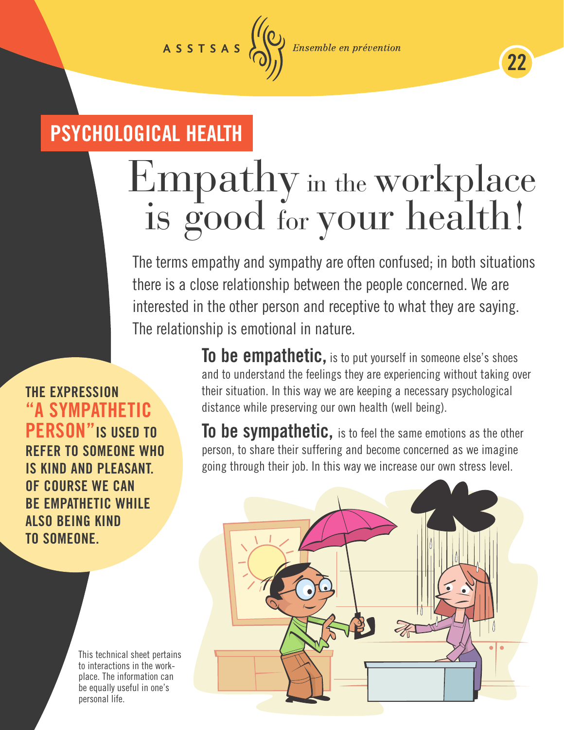**Ensemble en prévention** 

22

## PSYCHOLOGICAL HEALTH

ASSTSAS

# Empathy in the workplace is good for your health!

The terms empathy and sympathy are often confused; in both situations there is a close relationship between the people concerned. We are interested in the other person and receptive to what they are saying. The relationship is emotional in nature.

THE EXPRESSION SYMPATHETIC RSON"IS USED TO **FER TO SOMEONE WHO** IS KIND AND PLEASANT. OF COURSE WE CAN BE EMPATHETIC WHILE ALSO BEING KIND TO SOMEONE.

> This technical sheet pertains to interactions in the workplace. The information can be equally useful in one's personal life.

To be empathetic, is to put yourself in someone else's shoes and to understand the feelings they are experiencing without taking over their situation. In this way we are keeping a necessary psychological distance while preserving our own health (well being).

To be sympathetic, is to feel the same emotions as the other person, to share their suffering and become concerned as we imagine going through their job. In this way we increase our own stress level.